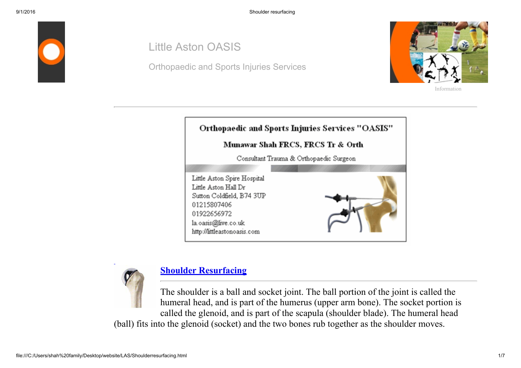

## Little Aston OASIS

Orthopaedic and Sports Injuries Services



[Information](file:///C:/Users/shah%20family/Desktop/website/LAS/aboutus.html)





## [Shoulder Resurfacing](file:///C:/Users/shah%20family/Desktop/website/LAS/shoulderresurface.html)

The shoulder is a ball and socket joint. The ball portion of the joint is called the humeral head, and is part of the humerus (upper arm bone). The socket portion is called the glenoid, and is part of the scapula (shoulder blade). The humeral head (ball) fits into the glenoid (socket) and the two bones rub together as the shoulder moves.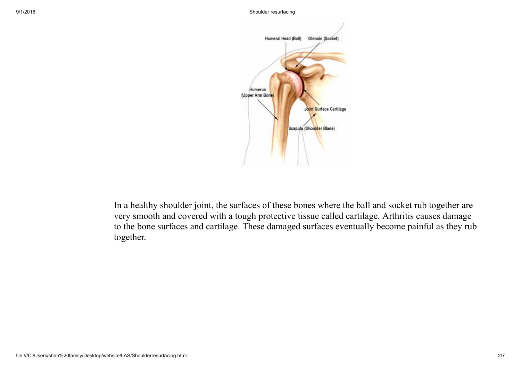

In a healthy shoulder joint, the surfaces of these bones where the ball and socket rub together are very smooth and covered with a tough protective tissue called cartilage. Arthritis causes damage to the bone surfaces and cartilage. These damaged surfaces eventually become painful as they rub together.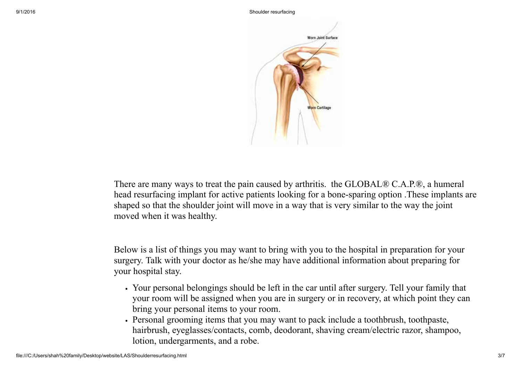

There are many ways to treat the pain caused by arthritis. the GLOBAL® C.A.P.®, a humeral head resurfacing implant for active patients looking for a bone-sparing option. These implants are shaped so that the shoulder joint will move in a way that is very similar to the way the joint moved when it was healthy.

Below is a list of things you may want to bring with you to the hospital in preparation for your surgery. Talk with your doctor as he/she may have additional information about preparing for your hospital stay.

- Your personal belongings should be left in the car until after surgery. Tell your family that your room will be assigned when you are in surgery or in recovery, at which point they can bring your personal items to your room.
- Personal grooming items that you may want to pack include a toothbrush, toothpaste, hairbrush, eyeglasses/contacts, comb, deodorant, shaving cream/electric razor, shampoo, lotion, undergarments, and a robe.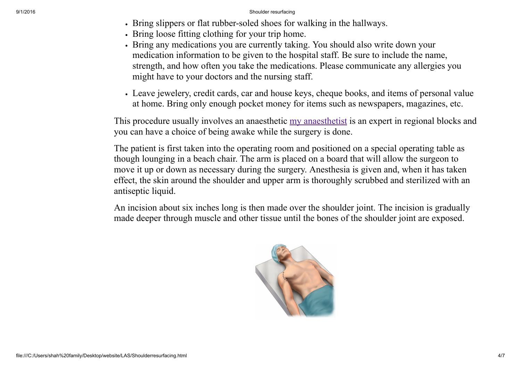- If Dring slippers or flat rubber-soled shoes for walking in the hallways.
- Bring loose fitting clothing for your trip home.
- Bring any medications you are currently taking. You should also write down your medication information to be given to the hospital staff. Be sure to include the name, strength, and how often you take the medications. Please communicate any allergies you might have to your doctors and the nursing staff.
- Leave jewelery, credit cards, car and house keys, cheque books, and items of personal value at home. Bring only enough pocket money for items such as newspapers, magazines, etc.

This procedure usually involves an anaesthetic [my anaesthetist](file:///C:/Users/shah%20family/Desktop/website/LAS/Anaesthetist.html) is an expert in regional blocks and you can have a choice of being awake while the surgery is done.

The patient is first taken into the operating room and positioned on a special operating table as though lounging in a beach chair. The arm is placed on a board that will allow the surgeon to move it up or down as necessary during the surgery. Anesthesia is given and, when it has taken effect, the skin around the shoulder and upper arm is thoroughly scrubbed and sterilized with an antiseptic liquid.

An incision about six inches long is then made over the shoulder joint. The incision is gradually made deeper through muscle and other tissue until the bones of the shoulder joint are exposed.

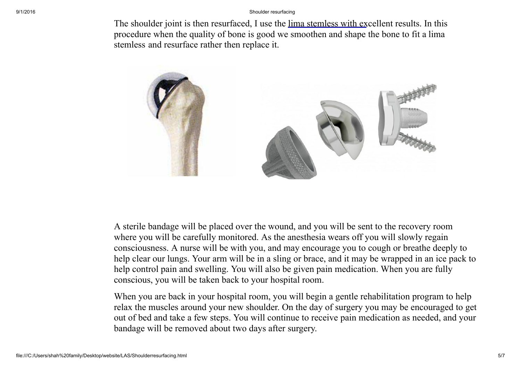The shoulder joint is then resurfaced, I use the [lima stemless](file:///C:/Users/shah%20family/Desktop/website/LAS/Documents/Global_CAP.pdf) with excellent results. In this procedure when the quality of bone is good we smoothen and shape the bone to fit a lima stemless and resurface rather then replace it.



A sterile bandage will be placed over the wound, and you will be sent to the recovery room where you will be carefully monitored. As the anesthesia wears off you will slowly regain consciousness. A nurse will be with you, and may encourage you to cough or breathe deeply to help clear our lungs. Your arm will be in a sling or brace, and it may be wrapped in an ice pack to help control pain and swelling. You will also be given pain medication. When you are fully conscious, you will be taken back to your hospital room.

When you are back in your hospital room, you will begin a gentle rehabilitation program to help relax the muscles around your new shoulder. On the day of surgery you may be encouraged to get out of bed and take a few steps. You will continue to receive pain medication as needed, and your bandage will be removed about two days after surgery.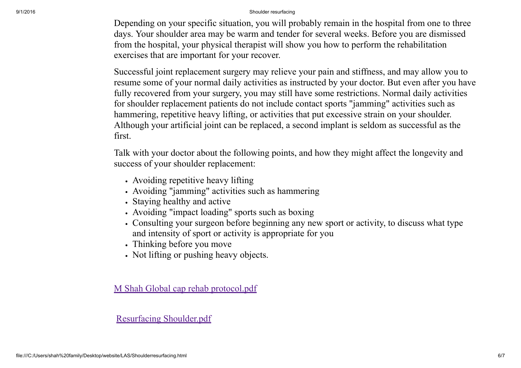Depending on your specific situation, you will probably remain in the hospital from one to three days. Your shoulder area may be warm and tender for several weeks. Before you are dismissed from the hospital, your physical therapist will show you how to perform the rehabilitation exercises that are important for your recover.

Successful joint replacement surgery may relieve your pain and stiffness, and may allow you to resume some of your normal daily activities as instructed by your doctor. But even after you have fully recovered from your surgery, you may still have some restrictions. Normal daily activities for shoulder replacement patients do not include contact sports "jamming" activities such as hammering, repetitive heavy lifting, or activities that put excessive strain on your shoulder. Although your artificial joint can be replaced, a second implant is seldom as successful as the first.

Talk with your doctor about the following points, and how they might affect the longevity and success of your shoulder replacement:

- Avoiding repetitive heavy lifting
- Avoiding "jamming" activities such as hammering
- Staying healthy and active
- Avoiding "impact loading" sports such as boxing
- Consulting your surgeon before beginning any new sport or activity, to discuss what type and intensity of sport or activity is appropriate for you
- Thinking before you move
- Not lifting or pushing heavy objects.

M Shah Global cap rehab [protocol.pdf](file:///C:/Users/shah%20family/Desktop/website/LAS/Documents/M%20Shah%20Global%20cap%20rehab%20protocol.pdf)

Resurfacing [Shoulder.pdf](file:///C:/Users/shah%20family/Desktop/website/LAS/Documents/Resurfacing%20Shoulder.pdf)